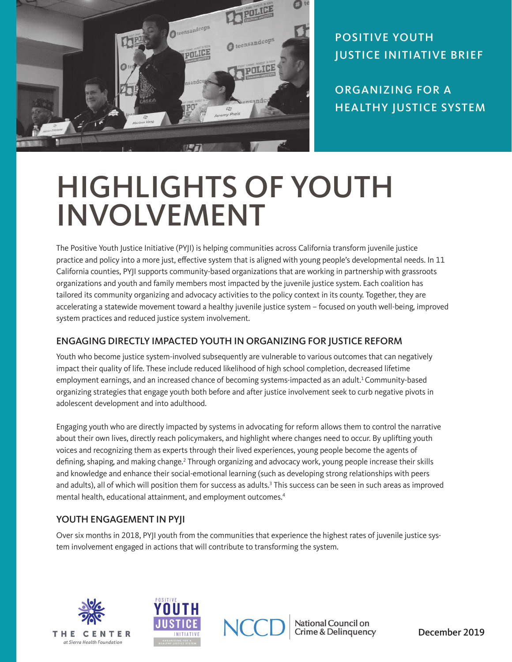

POSITIVE YOUTH JUSTICE INITIATIVE BRIEF

ORGANIZING FOR A HEALTHY JUSTICE SYSTEM

# HIGHLIGHTS OF YOUTH INVOLVEMENT

The Positive Youth Justice Initiative (PYJI) is helping communities across California transform juvenile justice practice and policy into a more just, effective system that is aligned with young people's developmental needs. In 11 California counties, PYJI supports community-based organizations that are working in partnership with grassroots organizations and youth and family members most impacted by the juvenile justice system. Each coalition has tailored its community organizing and advocacy activities to the policy context in its county. Together, they are accelerating a statewide movement toward a healthy juvenile justice system – focused on youth well-being, improved system practices and reduced justice system involvement.

## ENGAGING DIRECTLY IMPACTED YOUTH IN ORGANIZING FOR JUSTICE REFORM

Youth who become justice system-involved subsequently are vulnerable to various outcomes that can negatively impact their quality of life. These include reduced likelihood of high school completion, decreased lifetime employment earnings, and an increased chance of becoming systems-impacted as an adult.<sup>1</sup> Community-based organizing strategies that engage youth both before and after justice involvement seek to curb negative pivots in adolescent development and into adulthood.

Engaging youth who are directly impacted by systems in advocating for reform allows them to control the narrative about their own lives, directly reach policymakers, and highlight where changes need to occur. By uplifting youth voices and recognizing them as experts through their lived experiences, young people become the agents of defining, shaping, and making change.<sup>2</sup> Through organizing and advocacy work, young people increase their skills and knowledge and enhance their social-emotional learning (such as developing strong relationships with peers and adults), all of which will position them for success as adults.<sup>3</sup> This success can be seen in such areas as improved mental health, educational attainment, and employment outcomes.<sup>4</sup>

## YOUTH ENGAGEMENT IN PYJI

Over six months in 2018, PYJI youth from the communities that experience the highest rates of juvenile justice system involvement engaged in actions that will contribute to transforming the system.







National Council on **Crime & Delinquency**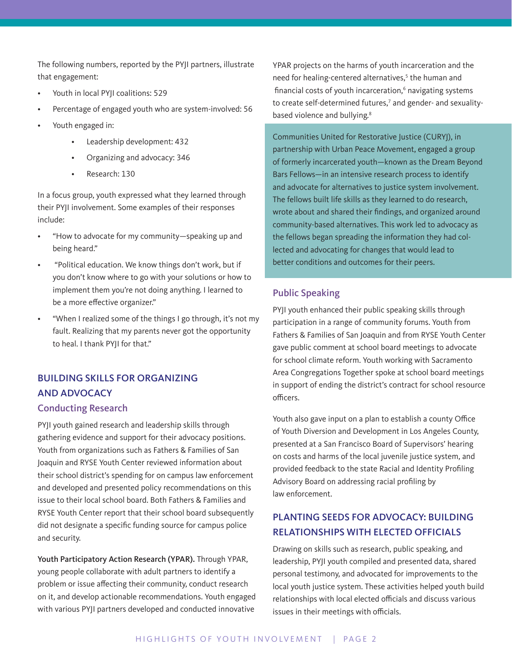The following numbers, reported by the PYJI partners, illustrate that engagement:

- Youth in local PYJI coalitions: 529
- Percentage of engaged youth who are system-involved: 56
- Youth engaged in:
	- Leadership development: 432
	- Organizing and advocacy: 346
	- Research: 130

In a focus group, youth expressed what they learned through their PYJI involvement. Some examples of their responses include:

- "How to advocate for my community—speaking up and being heard."
- "Political education. We know things don't work, but if you don't know where to go with your solutions or how to implement them you're not doing anything. I learned to be a more effective organizer."
- "When I realized some of the things I go through, it's not my fault. Realizing that my parents never got the opportunity to heal. I thank PYJI for that."

## BUILDING SKILLS FOR ORGANIZING AND ADVOCACY

#### Conducting Research

PYJI youth gained research and leadership skills through gathering evidence and support for their advocacy positions. Youth from organizations such as Fathers & Families of San Joaquin and RYSE Youth Center reviewed information about their school district's spending for on campus law enforcement and developed and presented policy recommendations on this issue to their local school board. Both Fathers & Families and RYSE Youth Center report that their school board subsequently did not designate a specific funding source for campus police and security.

Youth Participatory Action Research (YPAR). Through YPAR, young people collaborate with adult partners to identify a problem or issue affecting their community, conduct research on it, and develop actionable recommendations. Youth engaged with various PYJI partners developed and conducted innovative

YPAR projects on the harms of youth incarceration and the need for healing-centered alternatives,<sup>5</sup> the human and financial costs of youth incarceration,<sup>6</sup> navigating systems to create self-determined futures,<sup>7</sup> and gender- and sexualitybased violence and bullying.<sup>8</sup>

Communities United for Restorative Justice (CURYJ), in partnership with Urban Peace Movement, engaged a group of formerly incarcerated youth—known as the Dream Beyond Bars Fellows—in an intensive research process to identify and advocate for alternatives to justice system involvement. The fellows built life skills as they learned to do research, wrote about and shared their findings, and organized around community-based alternatives. This work led to advocacy as the fellows began spreading the information they had collected and advocating for changes that would lead to better conditions and outcomes for their peers.

### Public Speaking

PYJI youth enhanced their public speaking skills through participation in a range of community forums. Youth from Fathers & Families of San Joaquin and from RYSE Youth Center gave public comment at school board meetings to advocate for school climate reform. Youth working with Sacramento Area Congregations Together spoke at school board meetings in support of ending the district's contract for school resource officers.

Youth also gave input on a plan to establish a county Office of Youth Diversion and Development in Los Angeles County, presented at a San Francisco Board of Supervisors' hearing on costs and harms of the local juvenile justice system, and provided feedback to the state Racial and Identity Profiling Advisory Board on addressing racial profiling by law enforcement.

## PLANTING SEEDS FOR ADVOCACY: BUILDING RELATIONSHIPS WITH ELECTED OFFICIALS

Drawing on skills such as research, public speaking, and leadership, PYJI youth compiled and presented data, shared personal testimony, and advocated for improvements to the local youth justice system. These activities helped youth build relationships with local elected officials and discuss various issues in their meetings with officials.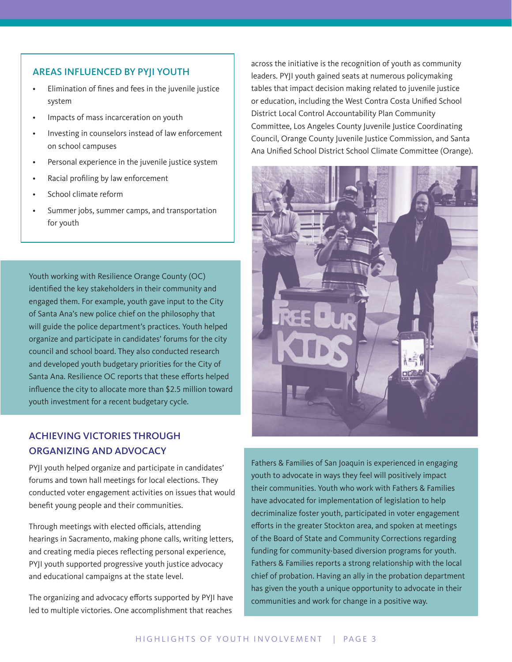#### AREAS INFLUENCED BY PYJI YOUTH

- Elimination of fines and fees in the juvenile justice system
- Impacts of mass incarceration on youth
- Investing in counselors instead of law enforcement on school campuses
- Personal experience in the juvenile justice system
- Racial profiling by law enforcement
- School climate reform
- Summer jobs, summer camps, and transportation for youth

Youth working with Resilience Orange County (OC) identified the key stakeholders in their community and engaged them. For example, youth gave input to the City of Santa Ana's new police chief on the philosophy that will guide the police department's practices. Youth helped organize and participate in candidates' forums for the city council and school board. They also conducted research and developed youth budgetary priorities for the City of Santa Ana. Resilience OC reports that these efforts helped influence the city to allocate more than \$2.5 million toward youth investment for a recent budgetary cycle.

## ACHIEVING VICTORIES THROUGH ORGANIZING AND ADVOCACY

PYJI youth helped organize and participate in candidates' forums and town hall meetings for local elections. They conducted voter engagement activities on issues that would benefit young people and their communities.

Through meetings with elected officials, attending hearings in Sacramento, making phone calls, writing letters, and creating media pieces reflecting personal experience, PYJI youth supported progressive youth justice advocacy and educational campaigns at the state level.

The organizing and advocacy efforts supported by PYJI have led to multiple victories. One accomplishment that reaches

across the initiative is the recognition of youth as community leaders. PYJI youth gained seats at numerous policymaking tables that impact decision making related to juvenile justice or education, including the West Contra Costa Unified School District Local Control Accountability Plan Community Committee, Los Angeles County Juvenile Justice Coordinating Council, Orange County Juvenile Justice Commission, and Santa Ana Unified School District School Climate Committee (Orange).



Fathers & Families of San Joaquin is experienced in engaging youth to advocate in ways they feel will positively impact their communities. Youth who work with Fathers & Families have advocated for implementation of legislation to help decriminalize foster youth, participated in voter engagement efforts in the greater Stockton area, and spoken at meetings of the Board of State and Community Corrections regarding funding for community-based diversion programs for youth. Fathers & Families reports a strong relationship with the local chief of probation. Having an ally in the probation department has given the youth a unique opportunity to advocate in their communities and work for change in a positive way.